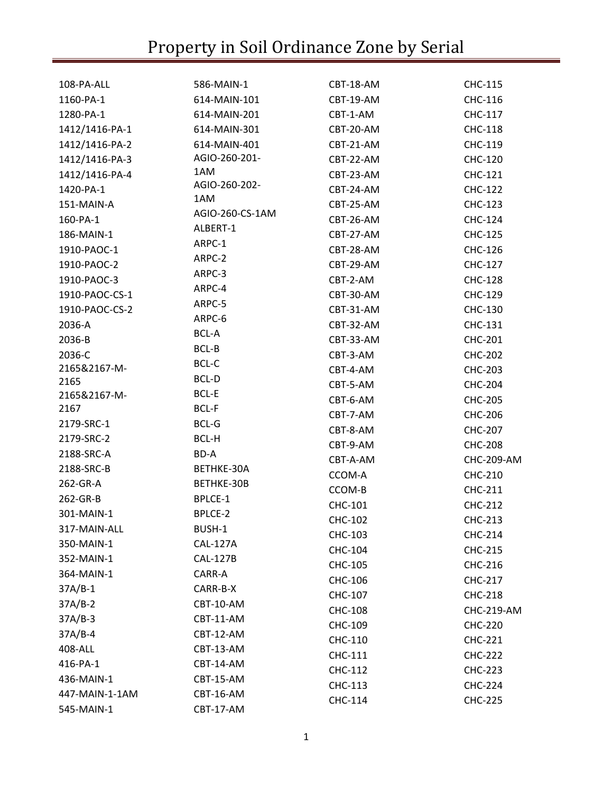| 108-PA-ALL     | 586-MAIN-1      | CBT-18-AM      | CHC-115           |
|----------------|-----------------|----------------|-------------------|
| 1160-PA-1      | 614-MAIN-101    | CBT-19-AM      | CHC-116           |
| 1280-PA-1      | 614-MAIN-201    | CBT-1-AM       | CHC-117           |
| 1412/1416-PA-1 | 614-MAIN-301    | CBT-20-AM      | <b>CHC-118</b>    |
| 1412/1416-PA-2 | 614-MAIN-401    | CBT-21-AM      | CHC-119           |
| 1412/1416-PA-3 | AGIO-260-201-   | CBT-22-AM      | CHC-120           |
| 1412/1416-PA-4 | 1AM             | CBT-23-AM      | CHC-121           |
| 1420-PA-1      | AGIO-260-202-   | CBT-24-AM      | <b>CHC-122</b>    |
| 151-MAIN-A     | 1AM             | CBT-25-AM      | <b>CHC-123</b>    |
| 160-PA-1       | AGIO-260-CS-1AM | CBT-26-AM      | CHC-124           |
| 186-MAIN-1     | ALBERT-1        | CBT-27-AM      | CHC-125           |
| 1910-PAOC-1    | ARPC-1          | CBT-28-AM      | CHC-126           |
| 1910-PAOC-2    | ARPC-2          | CBT-29-AM      | CHC-127           |
| 1910-PAOC-3    | ARPC-3          | CBT-2-AM       | <b>CHC-128</b>    |
| 1910-PAOC-CS-1 | ARPC-4          | CBT-30-AM      | CHC-129           |
| 1910-PAOC-CS-2 | ARPC-5          | CBT-31-AM      | CHC-130           |
| 2036-A         | ARPC-6          | CBT-32-AM      | CHC-131           |
| 2036-B         | <b>BCL-A</b>    | CBT-33-AM      | <b>CHC-201</b>    |
| 2036-C         | BCL-B           | CBT-3-AM       | <b>CHC-202</b>    |
| 2165&2167-M-   | BCL-C           | CBT-4-AM       | <b>CHC-203</b>    |
| 2165           | BCL-D           | CBT-5-AM       | <b>CHC-204</b>    |
| 2165&2167-M-   | <b>BCL-E</b>    | CBT-6-AM       | <b>CHC-205</b>    |
| 2167           | <b>BCL-F</b>    | CBT-7-AM       | <b>CHC-206</b>    |
| 2179-SRC-1     | <b>BCL-G</b>    | CBT-8-AM       | <b>CHC-207</b>    |
| 2179-SRC-2     | BCL-H           | CBT-9-AM       | <b>CHC-208</b>    |
| 2188-SRC-A     | BD-A            | CBT-A-AM       | <b>CHC-209-AM</b> |
| 2188-SRC-B     | BETHKE-30A      | CCOM-A         | CHC-210           |
| 262-GR-A       | BETHKE-30B      | CCOM-B         | CHC-211           |
| 262-GR-B       | BPLCE-1         | CHC-101        | <b>CHC-212</b>    |
| 301-MAIN-1     | BPLCE-2         | <b>CHC-102</b> | <b>CHC-213</b>    |
| 317-MAIN-ALL   | BUSH-1          | CHC-103        | <b>CHC-214</b>    |
| 350-MAIN-1     | <b>CAL-127A</b> | CHC-104        | <b>CHC-215</b>    |
| 352-MAIN-1     | <b>CAL-127B</b> | CHC-105        | CHC-216           |
| 364-MAIN-1     | CARR-A          | CHC-106        | <b>CHC-217</b>    |
| $37A/B-1$      | CARR-B-X        | CHC-107        | <b>CHC-218</b>    |
| $37A/B-2$      | CBT-10-AM       | <b>CHC-108</b> | CHC-219-AM        |
| $37A/B-3$      | CBT-11-AM       | CHC-109        | <b>CHC-220</b>    |
| 37A/B-4        | CBT-12-AM       | CHC-110        | <b>CHC-221</b>    |
| 408-ALL        | CBT-13-AM       | CHC-111        | <b>CHC-222</b>    |
| 416-PA-1       | CBT-14-AM       | CHC-112        | <b>CHC-223</b>    |
| 436-MAIN-1     | CBT-15-AM       | CHC-113        | <b>CHC-224</b>    |
| 447-MAIN-1-1AM | CBT-16-AM       | CHC-114        | <b>CHC-225</b>    |
| 545-MAIN-1     | CBT-17-AM       |                |                   |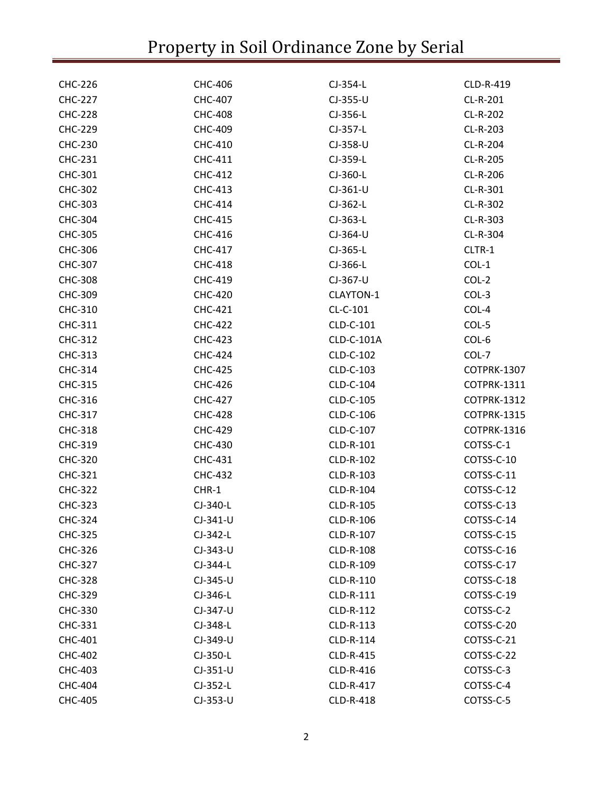| <b>CHC-226</b> | CHC-406        | CJ-354-L   | CLD-R-419          |
|----------------|----------------|------------|--------------------|
| <b>CHC-227</b> | <b>CHC-407</b> | CJ-355-U   | CL-R-201           |
| <b>CHC-228</b> | <b>CHC-408</b> | CJ-356-L   | CL-R-202           |
| <b>CHC-229</b> | CHC-409        | CJ-357-L   | CL-R-203           |
| CHC-230        | CHC-410        | CJ-358-U   | CL-R-204           |
| <b>CHC-231</b> | CHC-411        | CJ-359-L   | CL-R-205           |
| CHC-301        | <b>CHC-412</b> | CJ-360-L   | CL-R-206           |
| <b>CHC-302</b> | CHC-413        | $CJ-361-U$ | CL-R-301           |
| CHC-303        | CHC-414        | CJ-362-L   | CL-R-302           |
| <b>CHC-304</b> | <b>CHC-415</b> | CJ-363-L   | CL-R-303           |
| CHC-305        | CHC-416        | CJ-364-U   | CL-R-304           |
| CHC-306        | CHC-417        | CJ-365-L   | CLTR-1             |
| CHC-307        | <b>CHC-418</b> | CJ-366-L   | $COL-1$            |
| <b>CHC-308</b> | CHC-419        | CJ-367-U   | COL-2              |
| CHC-309        | <b>CHC-420</b> | CLAYTON-1  | $COL-3$            |
| CHC-310        | <b>CHC-421</b> | CL-C-101   | COL-4              |
| CHC-311        | <b>CHC-422</b> | CLD-C-101  | COL-5              |
| <b>CHC-312</b> | <b>CHC-423</b> | CLD-C-101A | COL-6              |
| <b>CHC-313</b> | <b>CHC-424</b> | CLD-C-102  | COL-7              |
| CHC-314        | <b>CHC-425</b> | CLD-C-103  | COTPRK-1307        |
| CHC-315        | <b>CHC-426</b> | CLD-C-104  | COTPRK-1311        |
| CHC-316        | <b>CHC-427</b> | CLD-C-105  | COTPRK-1312        |
| CHC-317        | <b>CHC-428</b> | CLD-C-106  | <b>COTPRK-1315</b> |
| <b>CHC-318</b> | <b>CHC-429</b> | CLD-C-107  | COTPRK-1316        |
| CHC-319        | CHC-430        | CLD-R-101  | COTSS-C-1          |
| <b>CHC-320</b> | CHC-431        | CLD-R-102  | COTSS-C-10         |
| <b>CHC-321</b> | <b>CHC-432</b> | CLD-R-103  | COTSS-C-11         |
| <b>CHC-322</b> | CHR-1          | CLD-R-104  | COTSS-C-12         |
| <b>CHC-323</b> | CJ-340-L       | CLD-R-105  | COTSS-C-13         |
| CHC-324        | $CI-341-U$     | CLD-R-106  | COTSS-C-14         |
| <b>CHC-325</b> | $CJ-342-L$     | CLD-R-107  | COTSS-C-15         |
| CHC-326        | CJ-343-U       | CLD-R-108  | COTSS-C-16         |
| <b>CHC-327</b> | CJ-344-L       | CLD-R-109  | COTSS-C-17         |
| <b>CHC-328</b> | CJ-345-U       | CLD-R-110  | COTSS-C-18         |
| <b>CHC-329</b> | $CI-346-L$     | CLD-R-111  | COTSS-C-19         |
| CHC-330        | CJ-347-U       | CLD-R-112  | COTSS-C-2          |
| CHC-331        | CJ-348-L       | CLD-R-113  | COTSS-C-20         |
| <b>CHC-401</b> | CJ-349-U       | CLD-R-114  | COTSS-C-21         |
| <b>CHC-402</b> | CJ-350-L       | CLD-R-415  | COTSS-C-22         |
| <b>CHC-403</b> | $CJ-351-U$     | CLD-R-416  | COTSS-C-3          |
| <b>CHC-404</b> | CJ-352-L       | CLD-R-417  | COTSS-C-4          |
| <b>CHC-405</b> | CJ-353-U       | CLD-R-418  | COTSS-C-5          |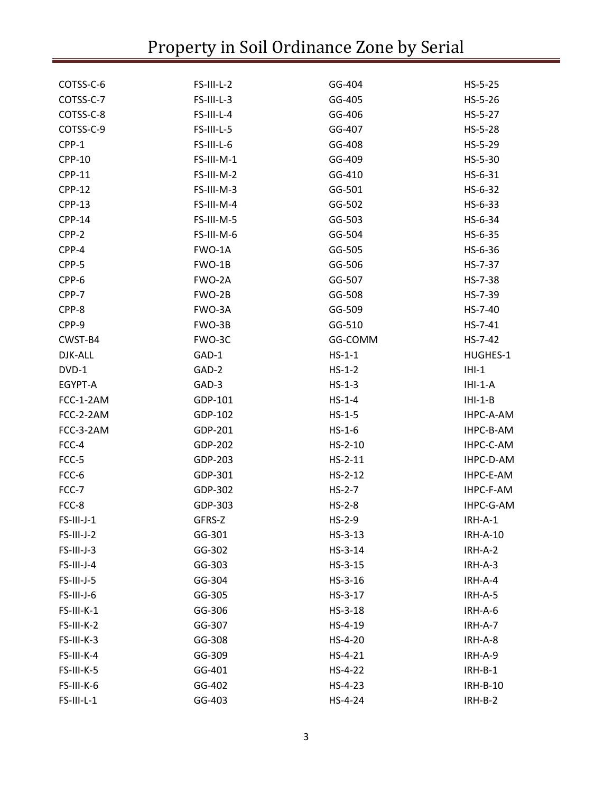| COTSS-C-6     | FS-III-L-2 | GG-404    | $HS-5-25$       |
|---------------|------------|-----------|-----------------|
| COTSS-C-7     | FS-III-L-3 | GG-405    | $HS-5-26$       |
| COTSS-C-8     | FS-III-L-4 | GG-406    | $HS-5-27$       |
| COTSS-C-9     | FS-III-L-5 | GG-407    | HS-5-28         |
| CPP-1         | FS-III-L-6 | GG-408    | $HS-5-29$       |
| <b>CPP-10</b> | FS-III-M-1 | GG-409    | $HS-5-30$       |
| <b>CPP-11</b> | FS-III-M-2 | GG-410    | $HS-6-31$       |
| <b>CPP-12</b> | FS-III-M-3 | GG-501    | HS-6-32         |
| <b>CPP-13</b> | FS-III-M-4 | GG-502    | $HS-6-33$       |
| <b>CPP-14</b> | FS-III-M-5 | GG-503    | HS-6-34         |
| CPP-2         | FS-III-M-6 | GG-504    | $HS-6-35$       |
| CPP-4         | FWO-1A     | GG-505    | HS-6-36         |
| CPP-5         | FWO-1B     | GG-506    | HS-7-37         |
| CPP-6         | FWO-2A     | GG-507    | HS-7-38         |
| CPP-7         | FWO-2B     | GG-508    | HS-7-39         |
| CPP-8         | FWO-3A     | GG-509    | HS-7-40         |
| CPP-9         | FWO-3B     | GG-510    | $HS - 7 - 41$   |
| CWST-B4       | FWO-3C     | GG-COMM   | $HS - 7 - 42$   |
| DJK-ALL       | GAD-1      | $HS-1-1$  | HUGHES-1        |
| DVD-1         | GAD-2      | $HS-1-2$  | $IHI-1$         |
| EGYPT-A       | GAD-3      | $HS-1-3$  | $IHI-1-A$       |
| FCC-1-2AM     | GDP-101    | $HS-1-4$  | $IHI-1-B$       |
| FCC-2-2AM     | GDP-102    | $HS-1-5$  | IHPC-A-AM       |
| FCC-3-2AM     | GDP-201    | $HS-1-6$  | IHPC-B-AM       |
| FCC-4         | GDP-202    | $HS-2-10$ | IHPC-C-AM       |
| FCC-5         | GDP-203    | $HS-2-11$ | IHPC-D-AM       |
| FCC-6         | GDP-301    | $HS-2-12$ | IHPC-E-AM       |
| FCC-7         | GDP-302    | $HS-2-7$  | IHPC-F-AM       |
| FCC-8         | GDP-303    | $HS-2-8$  | IHPC-G-AM       |
| $FS$ -III-J-1 | GFRS-Z     | $HS-2-9$  | $IRH-A-1$       |
| FS-III-J-2    | GG-301     | $HS-3-13$ | <b>IRH-A-10</b> |
| FS-III-J-3    | GG-302     | $HS-3-14$ | IRH-A-2         |
| FS-III-J-4    | GG-303     | $HS-3-15$ | IRH-A-3         |
| FS-III-J-5    | GG-304     | $HS-3-16$ | IRH-A-4         |
| FS-III-J-6    | GG-305     | $HS-3-17$ | IRH-A-5         |
| FS-III-K-1    | GG-306     | $HS-3-18$ | IRH-A-6         |
| FS-III-K-2    | GG-307     | $HS-4-19$ | IRH-A-7         |
| FS-III-K-3    | GG-308     | $HS-4-20$ | IRH-A-8         |
| FS-III-K-4    | GG-309     | $HS-4-21$ | IRH-A-9         |
| FS-III-K-5    | GG-401     | $HS-4-22$ | $IRH-B-1$       |
| FS-III-K-6    | GG-402     | $HS-4-23$ | <b>IRH-B-10</b> |
| FS-III-L-1    | GG-403     | HS-4-24   | $IRH-B-2$       |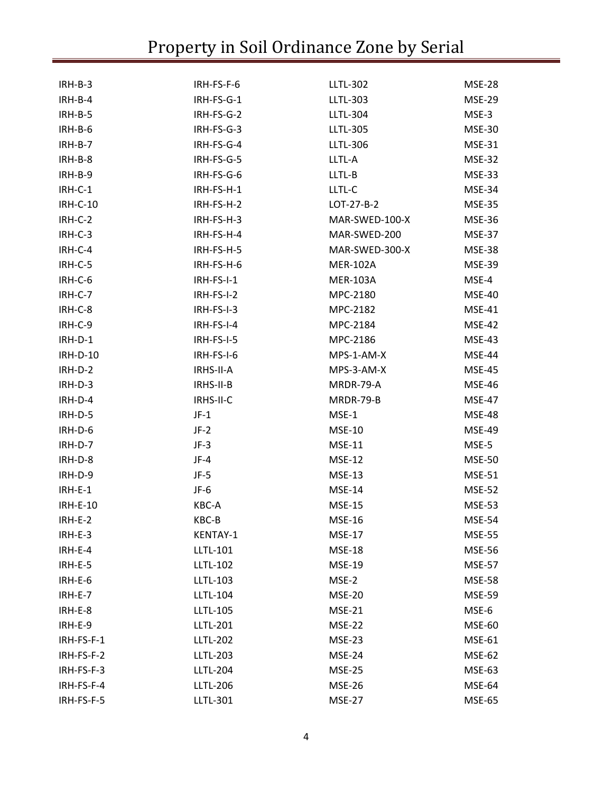| $IRH-B-3$       | IRH-FS-F-6      | <b>LLTL-302</b> | <b>MSE-28</b> |
|-----------------|-----------------|-----------------|---------------|
| IRH-B-4         | IRH-FS-G-1      | <b>LLTL-303</b> | <b>MSE-29</b> |
| IRH-B-5         | IRH-FS-G-2      | <b>LLTL-304</b> | MSE-3         |
| IRH-B-6         | IRH-FS-G-3      | <b>LLTL-305</b> | <b>MSE-30</b> |
| $IRH-B-7$       | IRH-FS-G-4      | <b>LLTL-306</b> | <b>MSE-31</b> |
| IRH-B-8         | IRH-FS-G-5      | LLTL-A          | <b>MSE-32</b> |
| IRH-B-9         | IRH-FS-G-6      | LLTL-B          | <b>MSE-33</b> |
| IRH-C-1         | IRH-FS-H-1      | LLTL-C          | MSE-34        |
| <b>IRH-C-10</b> | IRH-FS-H-2      | $LOT-27-B-2$    | <b>MSE-35</b> |
| IRH-C-2         | IRH-FS-H-3      | MAR-SWED-100-X  | <b>MSE-36</b> |
| IRH-C-3         | IRH-FS-H-4      | MAR-SWED-200    | <b>MSE-37</b> |
| IRH-C-4         | IRH-FS-H-5      | MAR-SWED-300-X  | MSE-38        |
| IRH-C-5         | IRH-FS-H-6      | <b>MER-102A</b> | <b>MSE-39</b> |
| IRH-C-6         | IRH-FS-I-1      | <b>MER-103A</b> | MSE-4         |
| IRH-C-7         | IRH-FS-I-2      | MPC-2180        | <b>MSE-40</b> |
| IRH-C-8         | $IRH-FS-I-3$    | MPC-2182        | <b>MSE-41</b> |
| IRH-C-9         | IRH-FS-I-4      | MPC-2184        | <b>MSE-42</b> |
| IRH-D-1         | IRH-FS-I-5      | MPC-2186        | <b>MSE-43</b> |
| <b>IRH-D-10</b> | IRH-FS-I-6      | MPS-1-AM-X      | MSE-44        |
| IRH-D-2         | IRHS-II-A       | MPS-3-AM-X      | <b>MSE-45</b> |
| IRH-D-3         | IRHS-II-B       | MRDR-79-A       | <b>MSE-46</b> |
| IRH-D-4         | IRHS-II-C       | MRDR-79-B       | <b>MSE-47</b> |
| IRH-D-5         | $JF-1$          | MSE-1           | <b>MSE-48</b> |
| IRH-D-6         | $JF-2$          | <b>MSE-10</b>   | <b>MSE-49</b> |
| IRH-D-7         | $JF-3$          | <b>MSE-11</b>   | MSE-5         |
| IRH-D-8         | $JF-4$          | <b>MSE-12</b>   | <b>MSE-50</b> |
| IRH-D-9         | $JF-5$          | <b>MSE-13</b>   | <b>MSE-51</b> |
| $IRH-E-1$       | $JF-6$          | <b>MSE-14</b>   | <b>MSE-52</b> |
| <b>IRH-E-10</b> | KBC-A           | <b>MSE-15</b>   | <b>MSE-53</b> |
| IRH-E-2         | KBC-B           | <b>MSE-16</b>   | <b>MSE-54</b> |
| IRH-E-3         | KENTAY-1        | <b>MSE-17</b>   | <b>MSE-55</b> |
| IRH-E-4         | LLTL-101        | <b>MSE-18</b>   | <b>MSE-56</b> |
| IRH-E-5         | <b>LLTL-102</b> | <b>MSE-19</b>   | <b>MSE-57</b> |
| IRH-E-6         | <b>LLTL-103</b> | MSE-2           | <b>MSE-58</b> |
| IRH-E-7         | <b>LLTL-104</b> | <b>MSE-20</b>   | <b>MSE-59</b> |
| IRH-E-8         | <b>LLTL-105</b> | <b>MSE-21</b>   | MSE-6         |
| IRH-E-9         | <b>LLTL-201</b> | <b>MSE-22</b>   | <b>MSE-60</b> |
| IRH-FS-F-1      | <b>LLTL-202</b> | <b>MSE-23</b>   | <b>MSE-61</b> |
| IRH-FS-F-2      | <b>LLTL-203</b> | <b>MSE-24</b>   | <b>MSE-62</b> |
| IRH-FS-F-3      | <b>LLTL-204</b> | <b>MSE-25</b>   | <b>MSE-63</b> |
| IRH-FS-F-4      | <b>LLTL-206</b> | <b>MSE-26</b>   | <b>MSE-64</b> |
| IRH-FS-F-5      | LLTL-301        | <b>MSE-27</b>   | <b>MSE-65</b> |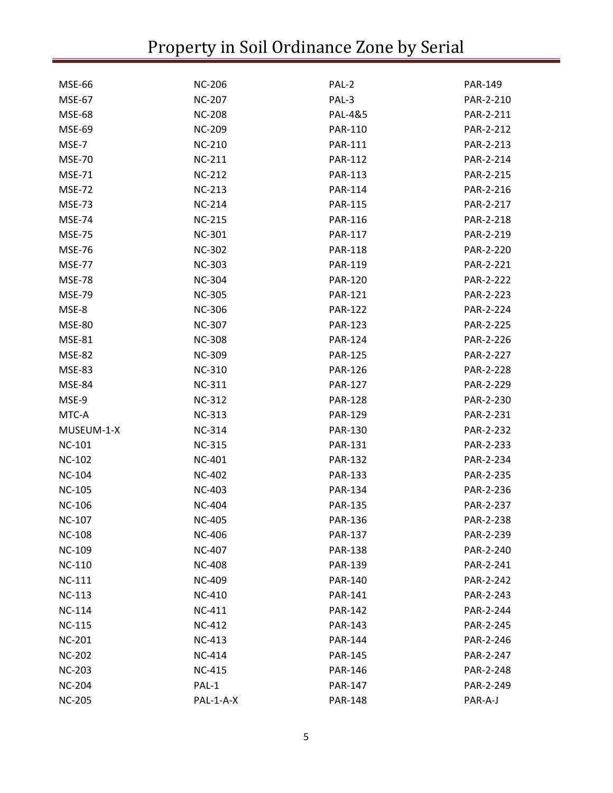| <b>MSE-66</b> | <b>NC-206</b> | PAL-2          | PAR-149   |
|---------------|---------------|----------------|-----------|
| <b>MSE-67</b> | <b>NC-207</b> | PAL-3          | PAR-2-210 |
| <b>MSE-68</b> | <b>NC-208</b> | PAL-4&5        | PAR-2-211 |
| <b>MSE-69</b> | <b>NC-209</b> | <b>PAR-110</b> | PAR-2-212 |
| MSE-7         | <b>NC-210</b> | <b>PAR-111</b> | PAR-2-213 |
| <b>MSE-70</b> | <b>NC-211</b> | <b>PAR-112</b> | PAR-2-214 |
| <b>MSE-71</b> | <b>NC-212</b> | <b>PAR-113</b> | PAR-2-215 |
| <b>MSE-72</b> | <b>NC-213</b> | <b>PAR-114</b> | PAR-2-216 |
| <b>MSE-73</b> | <b>NC-214</b> | <b>PAR-115</b> | PAR-2-217 |
| <b>MSE-74</b> | <b>NC-215</b> | <b>PAR-116</b> | PAR-2-218 |
| <b>MSE-75</b> | <b>NC-301</b> | <b>PAR-117</b> | PAR-2-219 |
| <b>MSE-76</b> | <b>NC-302</b> | <b>PAR-118</b> | PAR-2-220 |
| <b>MSE-77</b> | <b>NC-303</b> | <b>PAR-119</b> | PAR-2-221 |
| <b>MSE-78</b> | <b>NC-304</b> | <b>PAR-120</b> | PAR-2-222 |
| <b>MSE-79</b> | <b>NC-305</b> | <b>PAR-121</b> | PAR-2-223 |
| MSE-8         | <b>NC-306</b> | <b>PAR-122</b> | PAR-2-224 |
| <b>MSE-80</b> | <b>NC-307</b> | <b>PAR-123</b> | PAR-2-225 |
| <b>MSE-81</b> | <b>NC-308</b> | <b>PAR-124</b> | PAR-2-226 |
| <b>MSE-82</b> | <b>NC-309</b> | <b>PAR-125</b> | PAR-2-227 |
| <b>MSE-83</b> | <b>NC-310</b> | <b>PAR-126</b> | PAR-2-228 |
| <b>MSE-84</b> | NC-311        | <b>PAR-127</b> | PAR-2-229 |
| MSE-9         | <b>NC-312</b> | <b>PAR-128</b> | PAR-2-230 |
| MTC-A         | NC-313        | <b>PAR-129</b> | PAR-2-231 |
| MUSEUM-1-X    | <b>NC-314</b> | <b>PAR-130</b> | PAR-2-232 |
| <b>NC-101</b> | <b>NC-315</b> | <b>PAR-131</b> | PAR-2-233 |
| <b>NC-102</b> | <b>NC-401</b> | <b>PAR-132</b> | PAR-2-234 |
| <b>NC-104</b> | <b>NC-402</b> | <b>PAR-133</b> | PAR-2-235 |
| <b>NC-105</b> | <b>NC-403</b> | PAR-134        | PAR-2-236 |
| <b>NC-106</b> | <b>NC-404</b> | <b>PAR-135</b> | PAR-2-237 |
| <b>NC-107</b> | <b>NC-405</b> | <b>PAR-136</b> | PAR-2-238 |
| <b>NC-108</b> | <b>NC-406</b> | <b>PAR-137</b> | PAR-2-239 |
| <b>NC-109</b> | <b>NC-407</b> | <b>PAR-138</b> | PAR-2-240 |
| <b>NC-110</b> | <b>NC-408</b> | <b>PAR-139</b> | PAR-2-241 |
| <b>NC-111</b> | <b>NC-409</b> | <b>PAR-140</b> | PAR-2-242 |
| <b>NC-113</b> | <b>NC-410</b> | <b>PAR-141</b> | PAR-2-243 |
| <b>NC-114</b> | <b>NC-411</b> | <b>PAR-142</b> | PAR-2-244 |
| <b>NC-115</b> | <b>NC-412</b> | PAR-143        | PAR-2-245 |
| <b>NC-201</b> | <b>NC-413</b> | PAR-144        | PAR-2-246 |
| <b>NC-202</b> | <b>NC-414</b> | <b>PAR-145</b> | PAR-2-247 |
| <b>NC-203</b> | <b>NC-415</b> | PAR-146        | PAR-2-248 |
| <b>NC-204</b> | PAL-1         | <b>PAR-147</b> | PAR-2-249 |
| <b>NC-205</b> | PAL-1-A-X     | <b>PAR-148</b> | PAR-A-J   |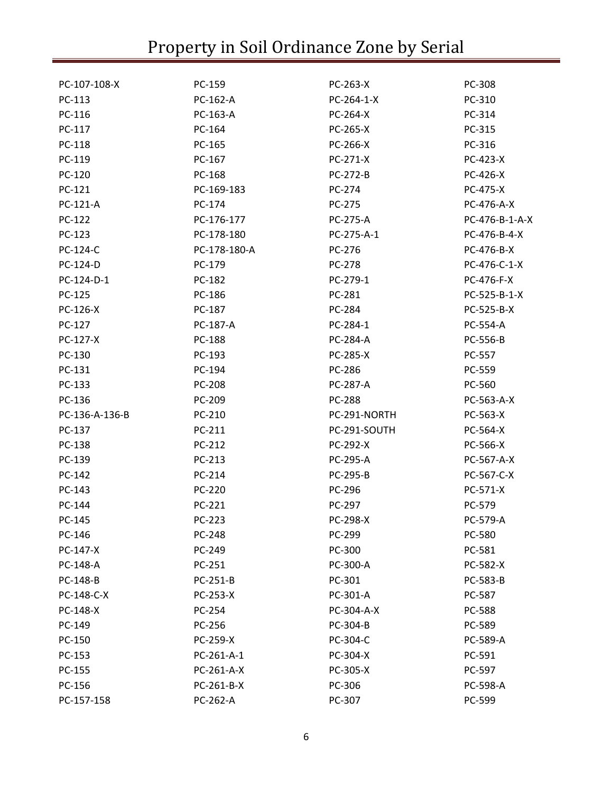| PC-107-108-X    | PC-159       | PC-263-X        | PC-308          |
|-----------------|--------------|-----------------|-----------------|
| PC-113          | PC-162-A     | PC-264-1-X      | PC-310          |
| PC-116          | PC-163-A     | PC-264-X        | PC-314          |
| PC-117          | PC-164       | PC-265-X        | PC-315          |
| PC-118          | PC-165       | PC-266-X        | PC-316          |
| PC-119          | PC-167       | PC-271-X        | PC-423-X        |
| PC-120          | PC-168       | PC-272-B        | PC-426-X        |
| PC-121          | PC-169-183   | PC-274          | <b>PC-475-X</b> |
| <b>PC-121-A</b> | PC-174       | PC-275          | PC-476-A-X      |
| PC-122          | PC-176-177   | PC-275-A        | PC-476-B-1-A-X  |
| PC-123          | PC-178-180   | PC-275-A-1      | PC-476-B-4-X    |
| PC-124-C        | PC-178-180-A | PC-276          | PC-476-B-X      |
| PC-124-D        | PC-179       | PC-278          | PC-476-C-1-X    |
| PC-124-D-1      | PC-182       | PC-279-1        | PC-476-F-X      |
| PC-125          | PC-186       | PC-281          | PC-525-B-1-X    |
| PC-126-X        | PC-187       | PC-284          | PC-525-B-X      |
| PC-127          | PC-187-A     | PC-284-1        | PC-554-A        |
| PC-127-X        | PC-188       | PC-284-A        | PC-556-B        |
| PC-130          | PC-193       | <b>PC-285-X</b> | PC-557          |
| PC-131          | PC-194       | PC-286          | PC-559          |
| PC-133          | PC-208       | <b>PC-287-A</b> | PC-560          |
| PC-136          | PC-209       | <b>PC-288</b>   | PC-563-A-X      |
| PC-136-A-136-B  | PC-210       | PC-291-NORTH    | PC-563-X        |
| PC-137          | PC-211       | PC-291-SOUTH    | PC-564-X        |
| PC-138          | PC-212       | PC-292-X        | PC-566-X        |
| PC-139          | PC-213       | PC-295-A        | PC-567-A-X      |
| PC-142          | PC-214       | PC-295-B        | PC-567-C-X      |
| PC-143          | PC-220       | PC-296          | PC-571-X        |
| PC-144          | PC-221       | PC-297          | PC-579          |
| PC-145          | PC-223       | <b>PC-298-X</b> | PC-579-A        |
| PC-146          | PC-248       | PC-299          | PC-580          |
| PC-147-X        | PC-249       | PC-300          | PC-581          |
| PC-148-A        | PC-251       | PC-300-A        | PC-582-X        |
| PC-148-B        | PC-251-B     | PC-301          | PC-583-B        |
| PC-148-C-X      | PC-253-X     | PC-301-A        | PC-587          |
| PC-148-X        | PC-254       | PC-304-A-X      | PC-588          |
| PC-149          | PC-256       | PC-304-B        | PC-589          |
| PC-150          | PC-259-X     | PC-304-C        | PC-589-A        |
| PC-153          | PC-261-A-1   | PC-304-X        | PC-591          |
| PC-155          | PC-261-A-X   | PC-305-X        | PC-597          |
| PC-156          | PC-261-B-X   | PC-306          | PC-598-A        |
| PC-157-158      | PC-262-A     | PC-307          | PC-599          |
|                 |              |                 |                 |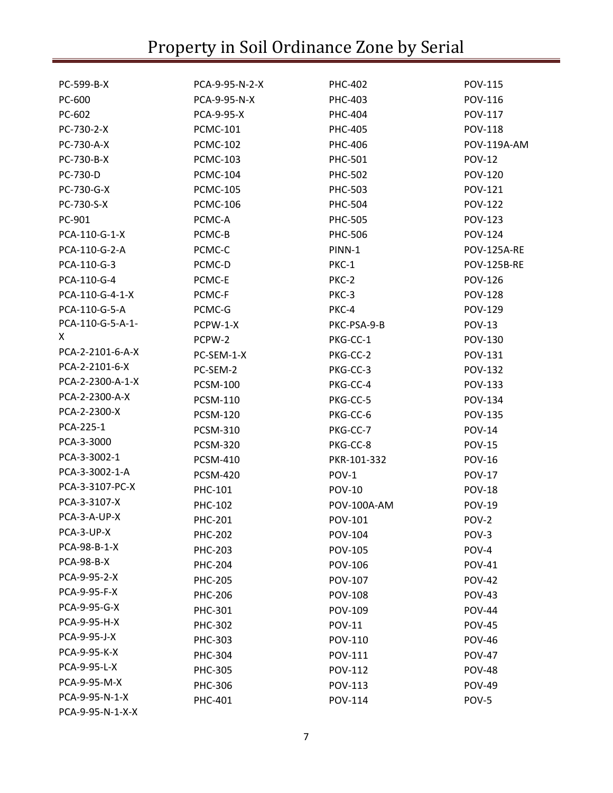| PCA-9-95-N-2-X<br>PC-599-B-X<br><b>PHC-402</b>   | <b>POV-115</b>     |
|--------------------------------------------------|--------------------|
| PC-600<br>PCA-9-95-N-X<br>PHC-403                | POV-116            |
| PC-602<br>PCA-9-95-X<br>PHC-404                  | <b>POV-117</b>     |
| PC-730-2-X<br><b>PCMC-101</b><br>PHC-405         | <b>POV-118</b>     |
| PC-730-A-X<br><b>PCMC-102</b><br>PHC-406         | POV-119A-AM        |
| PC-730-B-X<br><b>PCMC-103</b><br>PHC-501         | <b>POV-12</b>      |
| PC-730-D<br><b>PCMC-104</b><br><b>PHC-502</b>    | <b>POV-120</b>     |
| PC-730-G-X<br><b>PCMC-105</b><br>PHC-503         | <b>POV-121</b>     |
| PC-730-S-X<br><b>PCMC-106</b><br><b>PHC-504</b>  | <b>POV-122</b>     |
| PC-901<br>PCMC-A<br><b>PHC-505</b>               | <b>POV-123</b>     |
| PCA-110-G-1-X<br>PCMC-B<br>PHC-506               | <b>POV-124</b>     |
| PCA-110-G-2-A<br>PCMC-C<br>PINN-1                | <b>POV-125A-RE</b> |
| PCA-110-G-3<br>PCMC-D<br>PKC-1                   | <b>POV-125B-RE</b> |
| PCA-110-G-4<br>PCMC-E<br>PKC-2                   | <b>POV-126</b>     |
| PCA-110-G-4-1-X<br>PCMC-F<br>PKC-3               | <b>POV-128</b>     |
| PCA-110-G-5-A<br>PCMC-G<br>PKC-4                 | POV-129            |
| PCA-110-G-5-A-1-<br>PCPW-1-X<br>PKC-PSA-9-B      | <b>POV-13</b>      |
| X.<br>PCPW-2<br>PKG-CC-1                         | POV-130            |
| PCA-2-2101-6-A-X<br>PC-SEM-1-X<br>PKG-CC-2       | POV-131            |
| PCA-2-2101-6-X<br>PC-SEM-2<br>PKG-CC-3           | <b>POV-132</b>     |
| PCA-2-2300-A-1-X<br><b>PCSM-100</b><br>PKG-CC-4  | <b>POV-133</b>     |
| PCA-2-2300-A-X<br><b>PCSM-110</b><br>PKG-CC-5    | POV-134            |
| PCA-2-2300-X<br><b>PCSM-120</b><br>PKG-CC-6      | <b>POV-135</b>     |
| PCA-225-1<br><b>PCSM-310</b><br>PKG-CC-7         | <b>POV-14</b>      |
| PCA-3-3000<br><b>PCSM-320</b><br>PKG-CC-8        | <b>POV-15</b>      |
| PCA-3-3002-1<br><b>PCSM-410</b><br>PKR-101-332   | <b>POV-16</b>      |
| PCA-3-3002-1-A<br><b>PCSM-420</b><br>POV-1       | <b>POV-17</b>      |
| PCA-3-3107-PC-X<br><b>POV-10</b><br>PHC-101      | <b>POV-18</b>      |
| PCA-3-3107-X<br>PHC-102<br>POV-100A-AM           | <b>POV-19</b>      |
| PCA-3-A-UP-X<br><b>PHC-201</b><br>POV-101        | POV-2              |
| PCA-3-UP-X<br><b>PHC-202</b><br>POV-104          | POV-3              |
| PCA-98-B-1-X<br><b>PHC-203</b><br>POV-105        | POV-4              |
| <b>PCA-98-B-X</b><br><b>PHC-204</b><br>POV-106   | <b>POV-41</b>      |
| PCA-9-95-2-X<br><b>PHC-205</b><br>POV-107        | <b>POV-42</b>      |
| PCA-9-95-F-X<br><b>PHC-206</b><br><b>POV-108</b> | <b>POV-43</b>      |
| PCA-9-95-G-X<br>PHC-301<br>POV-109               | <b>POV-44</b>      |
| PCA-9-95-H-X<br>PHC-302<br><b>POV-11</b>         | <b>POV-45</b>      |
| PCA-9-95-J-X<br>PHC-303<br>POV-110               | <b>POV-46</b>      |
| PCA-9-95-K-X<br>PHC-304<br>POV-111               | <b>POV-47</b>      |
| PCA-9-95-L-X<br>PHC-305<br>POV-112               | <b>POV-48</b>      |
| PCA-9-95-M-X<br>PHC-306<br>POV-113               | <b>POV-49</b>      |
| PCA-9-95-N-1-X<br>PHC-401<br>POV-114             | POV-5              |
| PCA-9-95-N-1-X-X                                 |                    |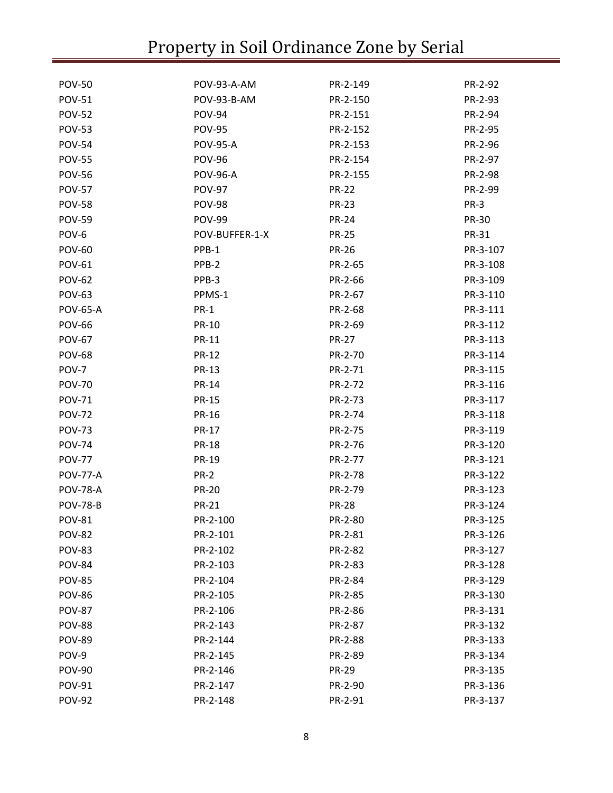| <b>POV-50</b>   | POV-93-A-AM        | PR-2-149     | PR-2-92      |
|-----------------|--------------------|--------------|--------------|
| <b>POV-51</b>   | <b>POV-93-B-AM</b> | PR-2-150     | PR-2-93      |
| <b>POV-52</b>   | <b>POV-94</b>      | PR-2-151     | PR-2-94      |
| <b>POV-53</b>   | <b>POV-95</b>      | PR-2-152     | PR-2-95      |
| <b>POV-54</b>   | <b>POV-95-A</b>    | PR-2-153     | PR-2-96      |
| <b>POV-55</b>   | <b>POV-96</b>      | PR-2-154     | PR-2-97      |
| <b>POV-56</b>   | <b>POV-96-A</b>    | PR-2-155     | PR-2-98      |
| <b>POV-57</b>   | <b>POV-97</b>      | <b>PR-22</b> | PR-2-99      |
| <b>POV-58</b>   | <b>POV-98</b>      | <b>PR-23</b> | PR-3         |
| <b>POV-59</b>   | <b>POV-99</b>      | <b>PR-24</b> | <b>PR-30</b> |
| POV-6           | POV-BUFFER-1-X     | <b>PR-25</b> | PR-31        |
| <b>POV-60</b>   | PPB-1              | <b>PR-26</b> | PR-3-107     |
| <b>POV-61</b>   | PPB-2              | PR-2-65      | PR-3-108     |
| <b>POV-62</b>   | PPB-3              | PR-2-66      | PR-3-109     |
| <b>POV-63</b>   | PPMS-1             | PR-2-67      | PR-3-110     |
| <b>POV-65-A</b> | <b>PR-1</b>        | PR-2-68      | PR-3-111     |
| <b>POV-66</b>   | <b>PR-10</b>       | PR-2-69      | PR-3-112     |
| <b>POV-67</b>   | <b>PR-11</b>       | <b>PR-27</b> | PR-3-113     |
| <b>POV-68</b>   | <b>PR-12</b>       | PR-2-70      | PR-3-114     |
| POV-7           | <b>PR-13</b>       | PR-2-71      | PR-3-115     |
| <b>POV-70</b>   | <b>PR-14</b>       | PR-2-72      | PR-3-116     |
| <b>POV-71</b>   | <b>PR-15</b>       | PR-2-73      | PR-3-117     |
| <b>POV-72</b>   | <b>PR-16</b>       | PR-2-74      | PR-3-118     |
| <b>POV-73</b>   | <b>PR-17</b>       | PR-2-75      | PR-3-119     |
| <b>POV-74</b>   | <b>PR-18</b>       | PR-2-76      | PR-3-120     |
| <b>POV-77</b>   | <b>PR-19</b>       | PR-2-77      | PR-3-121     |
| <b>POV-77-A</b> | <b>PR-2</b>        | PR-2-78      | PR-3-122     |
| <b>POV-78-A</b> | <b>PR-20</b>       | PR-2-79      | PR-3-123     |
| <b>POV-78-B</b> | <b>PR-21</b>       | <b>PR-28</b> | PR-3-124     |
| <b>POV-81</b>   | PR-2-100           | PR-2-80      | PR-3-125     |
| <b>POV-82</b>   | PR-2-101           | PR-2-81      | PR-3-126     |
| <b>POV-83</b>   | PR-2-102           | PR-2-82      | PR-3-127     |
| <b>POV-84</b>   | PR-2-103           | PR-2-83      | PR-3-128     |
| <b>POV-85</b>   | PR-2-104           | PR-2-84      | PR-3-129     |
| <b>POV-86</b>   | PR-2-105           | PR-2-85      | PR-3-130     |
| <b>POV-87</b>   | PR-2-106           | PR-2-86      | PR-3-131     |
| <b>POV-88</b>   | PR-2-143           | PR-2-87      | PR-3-132     |
| <b>POV-89</b>   | PR-2-144           | PR-2-88      | PR-3-133     |
| POV-9           | PR-2-145           | PR-2-89      | PR-3-134     |
| <b>POV-90</b>   | PR-2-146           | <b>PR-29</b> | PR-3-135     |
| <b>POV-91</b>   | PR-2-147           | PR-2-90      | PR-3-136     |
| <b>POV-92</b>   | PR-2-148           | PR-2-91      | PR-3-137     |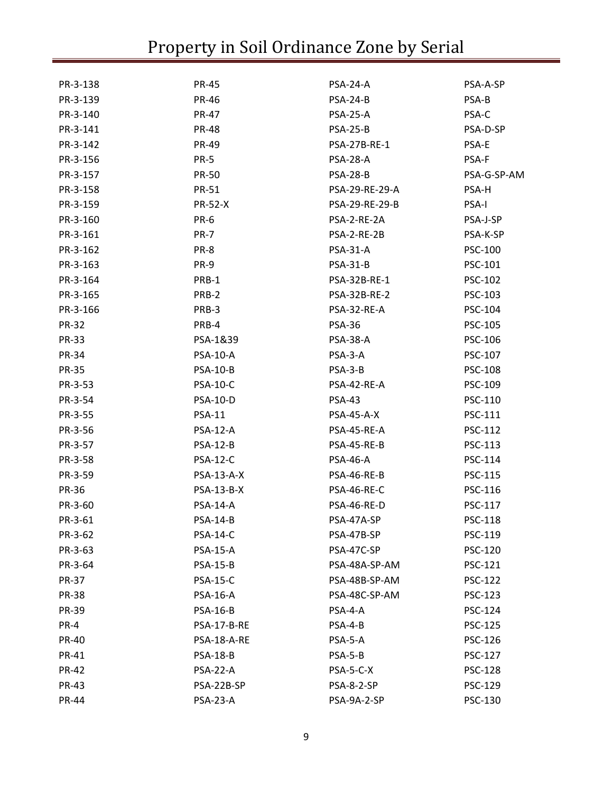| PR-3-138     | <b>PR-45</b>      | PSA-24-A            | PSA-A-SP       |
|--------------|-------------------|---------------------|----------------|
| PR-3-139     | <b>PR-46</b>      | <b>PSA-24-B</b>     | PSA-B          |
| PR-3-140     | <b>PR-47</b>      | <b>PSA-25-A</b>     | PSA-C          |
| PR-3-141     | <b>PR-48</b>      | <b>PSA-25-B</b>     | PSA-D-SP       |
| PR-3-142     | PR-49             | <b>PSA-27B-RE-1</b> | PSA-E          |
| PR-3-156     | <b>PR-5</b>       | <b>PSA-28-A</b>     | PSA-F          |
| PR-3-157     | <b>PR-50</b>      | <b>PSA-28-B</b>     | PSA-G-SP-AM    |
| PR-3-158     | PR-51             | PSA-29-RE-29-A      | PSA-H          |
| PR-3-159     | <b>PR-52-X</b>    | PSA-29-RE-29-B      | PSA-I          |
| PR-3-160     | PR-6              | PSA-2-RE-2A         | PSA-J-SP       |
| PR-3-161     | <b>PR-7</b>       | PSA-2-RE-2B         | PSA-K-SP       |
| PR-3-162     | PR-8              | PSA-31-A            | PSC-100        |
| PR-3-163     | PR-9              | <b>PSA-31-B</b>     | PSC-101        |
| PR-3-164     | PRB-1             | PSA-32B-RE-1        | <b>PSC-102</b> |
| PR-3-165     | PRB-2             | PSA-32B-RE-2        | PSC-103        |
| PR-3-166     | PRB-3             | PSA-32-RE-A         | PSC-104        |
| <b>PR-32</b> | PRB-4             | <b>PSA-36</b>       | PSC-105        |
| <b>PR-33</b> | PSA-1&39          | <b>PSA-38-A</b>     | PSC-106        |
| <b>PR-34</b> | <b>PSA-10-A</b>   | PSA-3-A             | PSC-107        |
| <b>PR-35</b> | <b>PSA-10-B</b>   | PSA-3-B             | <b>PSC-108</b> |
| PR-3-53      | <b>PSA-10-C</b>   | PSA-42-RE-A         | PSC-109        |
| PR-3-54      | <b>PSA-10-D</b>   | <b>PSA-43</b>       | PSC-110        |
| PR-3-55      | <b>PSA-11</b>     | PSA-45-A-X          | PSC-111        |
| PR-3-56      | <b>PSA-12-A</b>   | PSA-45-RE-A         | <b>PSC-112</b> |
| PR-3-57      | <b>PSA-12-B</b>   | PSA-45-RE-B         | PSC-113        |
| PR-3-58      | <b>PSA-12-C</b>   | <b>PSA-46-A</b>     | PSC-114        |
| PR-3-59      | PSA-13-A-X        | PSA-46-RE-B         | PSC-115        |
| <b>PR-36</b> | <b>PSA-13-B-X</b> | PSA-46-RE-C         | PSC-116        |
| PR-3-60      | <b>PSA-14-A</b>   | PSA-46-RE-D         | PSC-117        |
| PR-3-61      | <b>PSA-14-B</b>   | PSA-47A-SP          | PSC-118        |
| PR-3-62      | <b>PSA-14-C</b>   | PSA-47B-SP          | PSC-119        |
| PR-3-63      | <b>PSA-15-A</b>   | PSA-47C-SP          | <b>PSC-120</b> |
| PR-3-64      | <b>PSA-15-B</b>   | PSA-48A-SP-AM       | <b>PSC-121</b> |
| <b>PR-37</b> | <b>PSA-15-C</b>   | PSA-48B-SP-AM       | <b>PSC-122</b> |
| <b>PR-38</b> | <b>PSA-16-A</b>   | PSA-48C-SP-AM       | <b>PSC-123</b> |
| <b>PR-39</b> | <b>PSA-16-B</b>   | PSA-4-A             | <b>PSC-124</b> |
| PR-4         | PSA-17-B-RE       | PSA-4-B             | <b>PSC-125</b> |
| <b>PR-40</b> | PSA-18-A-RE       | PSA-5-A             | PSC-126        |
| PR-41        | <b>PSA-18-B</b>   | PSA-5-B             | <b>PSC-127</b> |
| <b>PR-42</b> | <b>PSA-22-A</b>   | PSA-5-C-X           | <b>PSC-128</b> |
| <b>PR-43</b> | PSA-22B-SP        | <b>PSA-8-2-SP</b>   | <b>PSC-129</b> |
| <b>PR-44</b> | <b>PSA-23-A</b>   | PSA-9A-2-SP         | PSC-130        |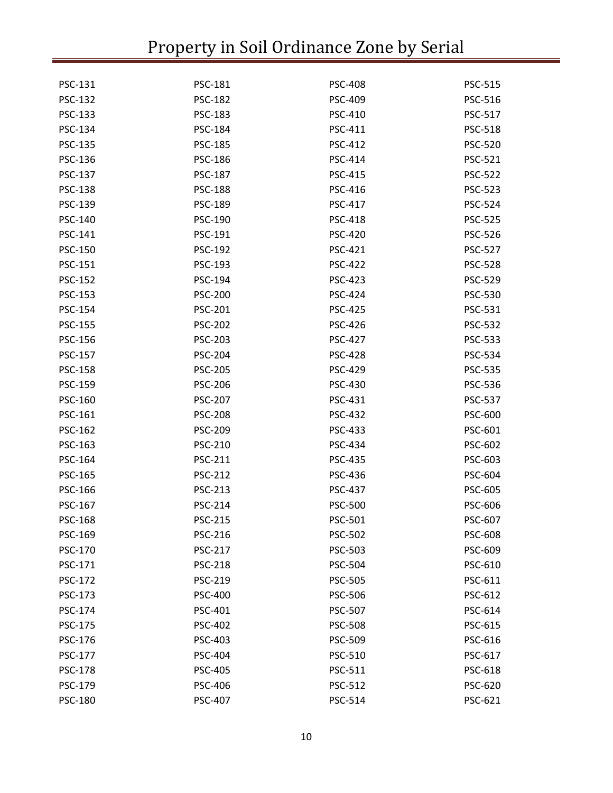| PSC-131        | <b>PSC-181</b> | <b>PSC-408</b> | PSC-515        |
|----------------|----------------|----------------|----------------|
| PSC-132        | <b>PSC-182</b> | <b>PSC-409</b> | PSC-516        |
| PSC-133        | <b>PSC-183</b> | PSC-410        | <b>PSC-517</b> |
| PSC-134        | PSC-184        | PSC-411        | <b>PSC-518</b> |
| PSC-135        | <b>PSC-185</b> | <b>PSC-412</b> | <b>PSC-520</b> |
| PSC-136        | PSC-186        | PSC-414        | <b>PSC-521</b> |
| PSC-137        | <b>PSC-187</b> | <b>PSC-415</b> | <b>PSC-522</b> |
| <b>PSC-138</b> | <b>PSC-188</b> | PSC-416        | <b>PSC-523</b> |
| PSC-139        | <b>PSC-189</b> | PSC-417        | <b>PSC-524</b> |
| PSC-140        | PSC-190        | PSC-418        | <b>PSC-525</b> |
| PSC-141        | PSC-191        | <b>PSC-420</b> | <b>PSC-526</b> |
| PSC-150        | PSC-192        | PSC-421        | <b>PSC-527</b> |
| PSC-151        | PSC-193        | <b>PSC-422</b> | <b>PSC-528</b> |
| <b>PSC-152</b> | PSC-194        | PSC-423        | <b>PSC-529</b> |
| PSC-153        | <b>PSC-200</b> | <b>PSC-424</b> | <b>PSC-530</b> |
| PSC-154        | <b>PSC-201</b> | <b>PSC-425</b> | PSC-531        |
| <b>PSC-155</b> | <b>PSC-202</b> | <b>PSC-426</b> | <b>PSC-532</b> |
| PSC-156        | PSC-203        | <b>PSC-427</b> | <b>PSC-533</b> |
| PSC-157        | <b>PSC-204</b> | <b>PSC-428</b> | <b>PSC-534</b> |
| <b>PSC-158</b> | <b>PSC-205</b> | PSC-429        | <b>PSC-535</b> |
| PSC-159        | <b>PSC-206</b> | PSC-430        | PSC-536        |
| PSC-160        | <b>PSC-207</b> | PSC-431        | <b>PSC-537</b> |
| PSC-161        | <b>PSC-208</b> | <b>PSC-432</b> | <b>PSC-600</b> |
| PSC-162        | <b>PSC-209</b> | PSC-433        | PSC-601        |
| PSC-163        | <b>PSC-210</b> | PSC-434        | <b>PSC-602</b> |
| PSC-164        | <b>PSC-211</b> | PSC-435        | PSC-603        |
| PSC-165        | PSC-212        | PSC-436        | <b>PSC-604</b> |
| PSC-166        | <b>PSC-213</b> | PSC-437        | <b>PSC-605</b> |
| PSC-167        | PSC-214        | <b>PSC-500</b> | PSC-606        |
| <b>PSC-168</b> | PSC-215        | PSC-501        | PSC-607        |
| PSC-169        | <b>PSC-216</b> | <b>PSC-502</b> | PSC-608        |
| PSC-170        | PSC-217        | PSC-503        | PSC-609        |
| PSC-171        | <b>PSC-218</b> | <b>PSC-504</b> | PSC-610        |
| <b>PSC-172</b> | PSC-219        | <b>PSC-505</b> | PSC-611        |
| PSC-173        | <b>PSC-400</b> | <b>PSC-506</b> | PSC-612        |
| PSC-174        | PSC-401        | PSC-507        | PSC-614        |
| PSC-175        | <b>PSC-402</b> | <b>PSC-508</b> | <b>PSC-615</b> |
| PSC-176        | <b>PSC-403</b> | <b>PSC-509</b> | PSC-616        |
| PSC-177        | <b>PSC-404</b> | PSC-510        | PSC-617        |
| PSC-178        | <b>PSC-405</b> | PSC-511        | PSC-618        |
| PSC-179        | <b>PSC-406</b> | <b>PSC-512</b> | <b>PSC-620</b> |
| PSC-180        | <b>PSC-407</b> | PSC-514        | PSC-621        |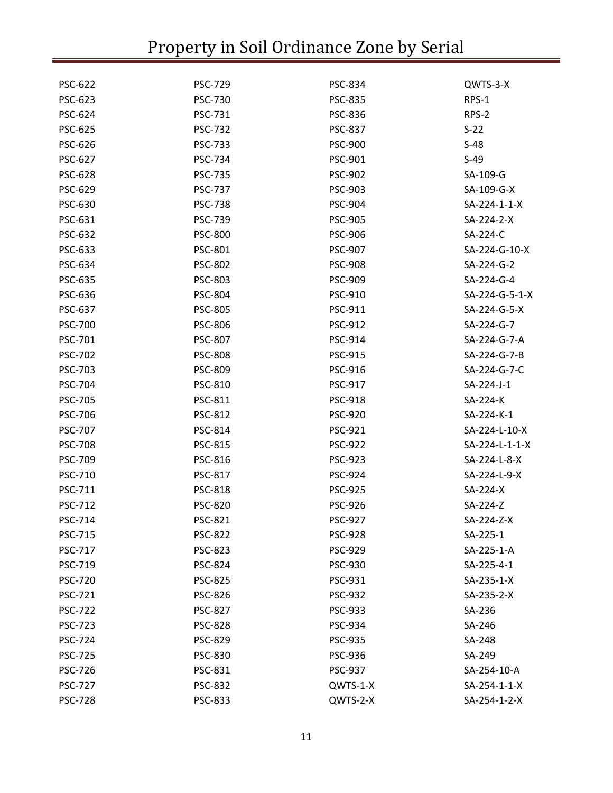| <b>PSC-622</b> | <b>PSC-729</b> | <b>PSC-834</b> | QWTS-3-X       |
|----------------|----------------|----------------|----------------|
| PSC-623        | <b>PSC-730</b> | <b>PSC-835</b> | RPS-1          |
| <b>PSC-624</b> | PSC-731        | <b>PSC-836</b> | RPS-2          |
| <b>PSC-625</b> | <b>PSC-732</b> | <b>PSC-837</b> | $S-22$         |
| <b>PSC-626</b> | <b>PSC-733</b> | <b>PSC-900</b> | $S-48$         |
| <b>PSC-627</b> | PSC-734        | PSC-901        | $S-49$         |
| <b>PSC-628</b> | <b>PSC-735</b> | <b>PSC-902</b> | SA-109-G       |
| <b>PSC-629</b> | <b>PSC-737</b> | PSC-903        | SA-109-G-X     |
| PSC-630        | <b>PSC-738</b> | <b>PSC-904</b> | SA-224-1-1-X   |
| PSC-631        | <b>PSC-739</b> | <b>PSC-905</b> | SA-224-2-X     |
| <b>PSC-632</b> | <b>PSC-800</b> | <b>PSC-906</b> | SA-224-C       |
| PSC-633        | <b>PSC-801</b> | <b>PSC-907</b> | SA-224-G-10-X  |
| PSC-634        | <b>PSC-802</b> | <b>PSC-908</b> | SA-224-G-2     |
| <b>PSC-635</b> | <b>PSC-803</b> | <b>PSC-909</b> | SA-224-G-4     |
| PSC-636        | <b>PSC-804</b> | PSC-910        | SA-224-G-5-1-X |
| PSC-637        | <b>PSC-805</b> | PSC-911        | SA-224-G-5-X   |
| <b>PSC-700</b> | <b>PSC-806</b> | PSC-912        | SA-224-G-7     |
| PSC-701        | <b>PSC-807</b> | PSC-914        | SA-224-G-7-A   |
| <b>PSC-702</b> | <b>PSC-808</b> | PSC-915        | SA-224-G-7-B   |
| PSC-703        | <b>PSC-809</b> | PSC-916        | SA-224-G-7-C   |
| <b>PSC-704</b> | PSC-810        | PSC-917        | SA-224-J-1     |
| <b>PSC-705</b> | PSC-811        | <b>PSC-918</b> | SA-224-K       |
| <b>PSC-706</b> | <b>PSC-812</b> | <b>PSC-920</b> | SA-224-K-1     |
| <b>PSC-707</b> | PSC-814        | PSC-921        | SA-224-L-10-X  |
| <b>PSC-708</b> | <b>PSC-815</b> | <b>PSC-922</b> | SA-224-L-1-1-X |
| <b>PSC-709</b> | PSC-816        | <b>PSC-923</b> | SA-224-L-8-X   |
| PSC-710        | PSC-817        | <b>PSC-924</b> | SA-224-L-9-X   |
| PSC-711        | <b>PSC-818</b> | <b>PSC-925</b> | SA-224-X       |
| <b>PSC-712</b> | PSC-820        | <b>PSC-926</b> | SA-224-Z       |
| PSC-714        | <b>PSC-821</b> | <b>PSC-927</b> | SA-224-Z-X     |
| <b>PSC-715</b> | <b>PSC-822</b> | <b>PSC-928</b> | SA-225-1       |
| <b>PSC-717</b> | <b>PSC-823</b> | <b>PSC-929</b> | SA-225-1-A     |
| PSC-719        | <b>PSC-824</b> | PSC-930        | SA-225-4-1     |
| <b>PSC-720</b> | <b>PSC-825</b> | PSC-931        | SA-235-1-X     |
| <b>PSC-721</b> | <b>PSC-826</b> | <b>PSC-932</b> | SA-235-2-X     |
| <b>PSC-722</b> | <b>PSC-827</b> | <b>PSC-933</b> | SA-236         |
| <b>PSC-723</b> | <b>PSC-828</b> | PSC-934        | SA-246         |
| <b>PSC-724</b> | <b>PSC-829</b> | <b>PSC-935</b> | SA-248         |
| <b>PSC-725</b> | <b>PSC-830</b> | PSC-936        | SA-249         |
| <b>PSC-726</b> | <b>PSC-831</b> | <b>PSC-937</b> | SA-254-10-A    |
| <b>PSC-727</b> | <b>PSC-832</b> | QWTS-1-X       | SA-254-1-1-X   |
| <b>PSC-728</b> | <b>PSC-833</b> | QWTS-2-X       | SA-254-1-2-X   |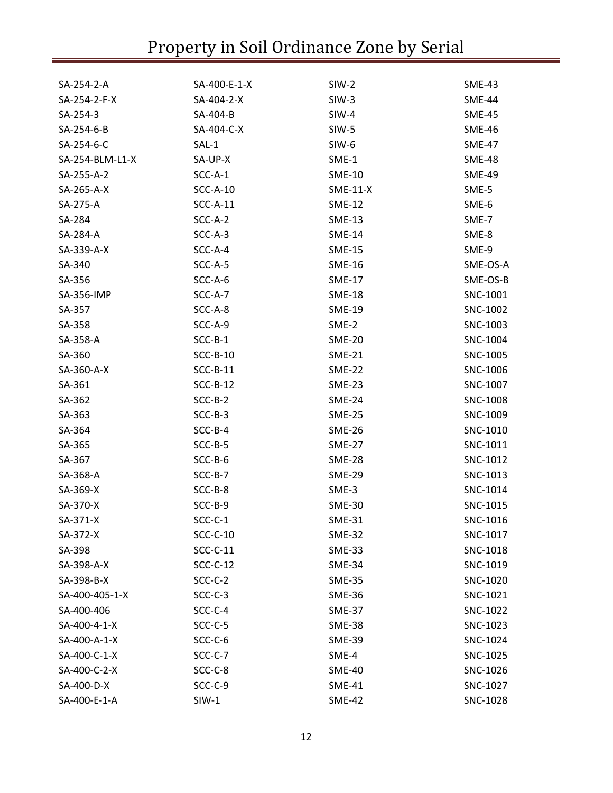| SA-254-2-A      | SA-400-E-1-X | $SIW-2$       | <b>SME-43</b> |
|-----------------|--------------|---------------|---------------|
| SA-254-2-F-X    | SA-404-2-X   | $SIW-3$       | <b>SME-44</b> |
| SA-254-3        | SA-404-B     | $SIW-4$       | <b>SME-45</b> |
| SA-254-6-B      | SA-404-C-X   | SIW-5         | <b>SME-46</b> |
| SA-254-6-C      | $SAL-1$      | SIW-6         | SME-47        |
| SA-254-BLM-L1-X | SA-UP-X      | SME-1         | <b>SME-48</b> |
| SA-255-A-2      | SCC-A-1      | <b>SME-10</b> | <b>SME-49</b> |
| SA-265-A-X      | $SCC-A-10$   | $SME-11-X$    | SME-5         |
| SA-275-A        | $SCC-A-11$   | <b>SME-12</b> | SME-6         |
| SA-284          | SCC-A-2      | <b>SME-13</b> | SME-7         |
| SA-284-A        | SCC-A-3      | <b>SME-14</b> | SME-8         |
| SA-339-A-X      | SCC-A-4      | <b>SME-15</b> | SME-9         |
| SA-340          | SCC-A-5      | <b>SME-16</b> | SME-OS-A      |
| SA-356          | SCC-A-6      | <b>SME-17</b> | SME-OS-B      |
| SA-356-IMP      | SCC-A-7      | <b>SME-18</b> | SNC-1001      |
| SA-357          | SCC-A-8      | <b>SME-19</b> | SNC-1002      |
| SA-358          | SCC-A-9      | SME-2         | SNC-1003      |
| SA-358-A        | $SCC-B-1$    | <b>SME-20</b> | SNC-1004      |
| SA-360          | $SCC-B-10$   | <b>SME-21</b> | SNC-1005      |
| SA-360-A-X      | $SCC-B-11$   | <b>SME-22</b> | SNC-1006      |
| SA-361          | $SCC-B-12$   | SME-23        | SNC-1007      |
| SA-362          | $SCC-B-2$    | <b>SME-24</b> | SNC-1008      |
| SA-363          | $SCC-B-3$    | <b>SME-25</b> | SNC-1009      |
| SA-364          | SCC-B-4      | <b>SME-26</b> | SNC-1010      |
| SA-365          | $SCC-B-5$    | <b>SME-27</b> | SNC-1011      |
| SA-367          | SCC-B-6      | <b>SME-28</b> | SNC-1012      |
| SA-368-A        | SCC-B-7      | SME-29        | SNC-1013      |
| SA-369-X        | SCC-B-8      | SME-3         | SNC-1014      |
| SA-370-X        | SCC-B-9      | <b>SME-30</b> | SNC-1015      |
| SA-371-X        | $SCC-C-1$    | <b>SME-31</b> | SNC-1016      |
| SA-372-X        | $SCC-C-10$   | <b>SME-32</b> | SNC-1017      |
| SA-398          | SCC-C-11     | <b>SME-33</b> | SNC-1018      |
| SA-398-A-X      | $SCC-C-12$   | <b>SME-34</b> | SNC-1019      |
| SA-398-B-X      | SCC-C-2      | <b>SME-35</b> | SNC-1020      |
| SA-400-405-1-X  | SCC-C-3      | <b>SME-36</b> | SNC-1021      |
| SA-400-406      | SCC-C-4      | <b>SME-37</b> | SNC-1022      |
| SA-400-4-1-X    | SCC-C-5      | SME-38        | SNC-1023      |
| SA-400-A-1-X    | SCC-C-6      | <b>SME-39</b> | SNC-1024      |
| SA-400-C-1-X    | SCC-C-7      | SME-4         | SNC-1025      |
| SA-400-C-2-X    | SCC-C-8      | <b>SME-40</b> | SNC-1026      |
| SA-400-D-X      | SCC-C-9      | <b>SME-41</b> | SNC-1027      |
| SA-400-E-1-A    | $SIW-1$      | <b>SME-42</b> | SNC-1028      |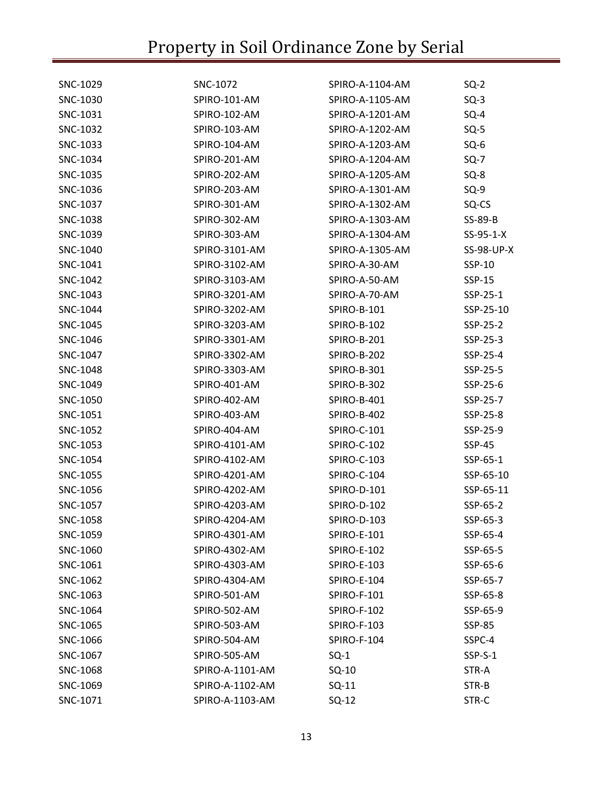| SNC-1029 | SNC-1072        | SPIRO-A-1104-AM    | $SQ-2$        |
|----------|-----------------|--------------------|---------------|
| SNC-1030 | SPIRO-101-AM    | SPIRO-A-1105-AM    | $SQ-3$        |
| SNC-1031 | SPIRO-102-AM    | SPIRO-A-1201-AM    | $SQ-4$        |
| SNC-1032 | SPIRO-103-AM    | SPIRO-A-1202-AM    | $SQ-5$        |
| SNC-1033 | SPIRO-104-AM    | SPIRO-A-1203-AM    | $SQ-6$        |
| SNC-1034 | SPIRO-201-AM    | SPIRO-A-1204-AM    | $SQ-7$        |
| SNC-1035 | SPIRO-202-AM    | SPIRO-A-1205-AM    | $SQ-8$        |
| SNC-1036 | SPIRO-203-AM    | SPIRO-A-1301-AM    | $SQ-9$        |
| SNC-1037 | SPIRO-301-AM    | SPIRO-A-1302-AM    | SQ-CS         |
| SNC-1038 | SPIRO-302-AM    | SPIRO-A-1303-AM    | SS-89-B       |
| SNC-1039 | SPIRO-303-AM    | SPIRO-A-1304-AM    | $SS-95-1-X$   |
| SNC-1040 | SPIRO-3101-AM   | SPIRO-A-1305-AM    | SS-98-UP-X    |
| SNC-1041 | SPIRO-3102-AM   | SPIRO-A-30-AM      | SSP-10        |
| SNC-1042 | SPIRO-3103-AM   | SPIRO-A-50-AM      | SSP-15        |
| SNC-1043 | SPIRO-3201-AM   | SPIRO-A-70-AM      | SSP-25-1      |
| SNC-1044 | SPIRO-3202-AM   | SPIRO-B-101        | SSP-25-10     |
| SNC-1045 | SPIRO-3203-AM   | SPIRO-B-102        | SSP-25-2      |
| SNC-1046 | SPIRO-3301-AM   | SPIRO-B-201        | SSP-25-3      |
| SNC-1047 | SPIRO-3302-AM   | SPIRO-B-202        | SSP-25-4      |
| SNC-1048 | SPIRO-3303-AM   | SPIRO-B-301        | SSP-25-5      |
| SNC-1049 | SPIRO-401-AM    | SPIRO-B-302        | SSP-25-6      |
| SNC-1050 | SPIRO-402-AM    | SPIRO-B-401        | SSP-25-7      |
| SNC-1051 | SPIRO-403-AM    | SPIRO-B-402        | SSP-25-8      |
| SNC-1052 | SPIRO-404-AM    | SPIRO-C-101        | SSP-25-9      |
| SNC-1053 | SPIRO-4101-AM   | SPIRO-C-102        | SSP-45        |
| SNC-1054 | SPIRO-4102-AM   | <b>SPIRO-C-103</b> | SSP-65-1      |
| SNC-1055 | SPIRO-4201-AM   | SPIRO-C-104        | SSP-65-10     |
| SNC-1056 | SPIRO-4202-AM   | SPIRO-D-101        | SSP-65-11     |
| SNC-1057 | SPIRO-4203-AM   | SPIRO-D-102        | SSP-65-2      |
| SNC-1058 | SPIRO-4204-AM   | SPIRO-D-103        | SSP-65-3      |
| SNC-1059 | SPIRO-4301-AM   | <b>SPIRO-E-101</b> | SSP-65-4      |
| SNC-1060 | SPIRO-4302-AM   | <b>SPIRO-E-102</b> | SSP-65-5      |
| SNC-1061 | SPIRO-4303-AM   | <b>SPIRO-E-103</b> | SSP-65-6      |
| SNC-1062 | SPIRO-4304-AM   | SPIRO-E-104        | SSP-65-7      |
| SNC-1063 | SPIRO-501-AM    | <b>SPIRO-F-101</b> | SSP-65-8      |
| SNC-1064 | SPIRO-502-AM    | <b>SPIRO-F-102</b> | SSP-65-9      |
| SNC-1065 | SPIRO-503-AM    | <b>SPIRO-F-103</b> | <b>SSP-85</b> |
| SNC-1066 | SPIRO-504-AM    | SPIRO-F-104        | SSPC-4        |
| SNC-1067 | SPIRO-505-AM    | $SQ-1$             | SSP-S-1       |
| SNC-1068 | SPIRO-A-1101-AM | $SQ-10$            | STR-A         |
| SNC-1069 | SPIRO-A-1102-AM | $SQ-11$            | STR-B         |
| SNC-1071 | SPIRO-A-1103-AM | $SQ-12$            | STR-C         |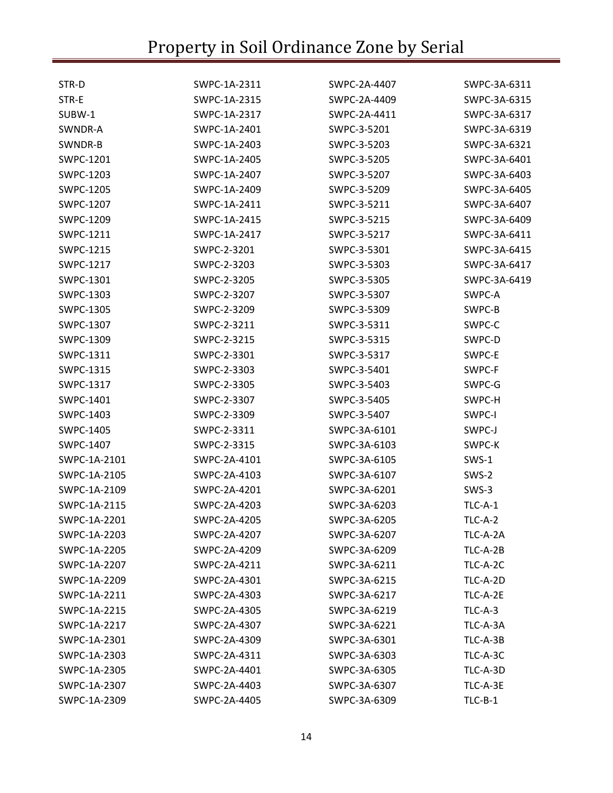| STR-D        | SWPC-1A-2311 | SWPC-2A-4407 | SWPC-3A-6311 |
|--------------|--------------|--------------|--------------|
| STR-E        | SWPC-1A-2315 | SWPC-2A-4409 | SWPC-3A-6315 |
| SUBW-1       | SWPC-1A-2317 | SWPC-2A-4411 | SWPC-3A-6317 |
| SWNDR-A      | SWPC-1A-2401 | SWPC-3-5201  | SWPC-3A-6319 |
| SWNDR-B      | SWPC-1A-2403 | SWPC-3-5203  | SWPC-3A-6321 |
| SWPC-1201    | SWPC-1A-2405 | SWPC-3-5205  | SWPC-3A-6401 |
| SWPC-1203    | SWPC-1A-2407 | SWPC-3-5207  | SWPC-3A-6403 |
| SWPC-1205    | SWPC-1A-2409 | SWPC-3-5209  | SWPC-3A-6405 |
| SWPC-1207    | SWPC-1A-2411 | SWPC-3-5211  | SWPC-3A-6407 |
| SWPC-1209    | SWPC-1A-2415 | SWPC-3-5215  | SWPC-3A-6409 |
| SWPC-1211    | SWPC-1A-2417 | SWPC-3-5217  | SWPC-3A-6411 |
| SWPC-1215    | SWPC-2-3201  | SWPC-3-5301  | SWPC-3A-6415 |
| SWPC-1217    | SWPC-2-3203  | SWPC-3-5303  | SWPC-3A-6417 |
| SWPC-1301    | SWPC-2-3205  | SWPC-3-5305  | SWPC-3A-6419 |
| SWPC-1303    | SWPC-2-3207  | SWPC-3-5307  | SWPC-A       |
| SWPC-1305    | SWPC-2-3209  | SWPC-3-5309  | SWPC-B       |
| SWPC-1307    | SWPC-2-3211  | SWPC-3-5311  | SWPC-C       |
| SWPC-1309    | SWPC-2-3215  | SWPC-3-5315  | SWPC-D       |
| SWPC-1311    | SWPC-2-3301  | SWPC-3-5317  | SWPC-E       |
| SWPC-1315    | SWPC-2-3303  | SWPC-3-5401  | SWPC-F       |
| SWPC-1317    | SWPC-2-3305  | SWPC-3-5403  | SWPC-G       |
| SWPC-1401    | SWPC-2-3307  | SWPC-3-5405  | SWPC-H       |
| SWPC-1403    | SWPC-2-3309  | SWPC-3-5407  | SWPC-I       |
| SWPC-1405    | SWPC-2-3311  | SWPC-3A-6101 | SWPC-J       |
| SWPC-1407    | SWPC-2-3315  | SWPC-3A-6103 | SWPC-K       |
| SWPC-1A-2101 | SWPC-2A-4101 | SWPC-3A-6105 | SWS-1        |
| SWPC-1A-2105 | SWPC-2A-4103 | SWPC-3A-6107 | SWS-2        |
| SWPC-1A-2109 | SWPC-2A-4201 | SWPC-3A-6201 | SWS-3        |
| SWPC-1A-2115 | SWPC-2A-4203 | SWPC-3A-6203 | TLC-A-1      |
| SWPC-1A-2201 | SWPC-2A-4205 | SWPC-3A-6205 | TLC-A-2      |
| SWPC-1A-2203 | SWPC-2A-4207 | SWPC-3A-6207 | TLC-A-2A     |
| SWPC-1A-2205 | SWPC-2A-4209 | SWPC-3A-6209 | TLC-A-2B     |
| SWPC-1A-2207 | SWPC-2A-4211 | SWPC-3A-6211 | TLC-A-2C     |
| SWPC-1A-2209 | SWPC-2A-4301 | SWPC-3A-6215 | TLC-A-2D     |
| SWPC-1A-2211 | SWPC-2A-4303 | SWPC-3A-6217 | TLC-A-2E     |
| SWPC-1A-2215 | SWPC-2A-4305 | SWPC-3A-6219 | $TLC-A-3$    |
| SWPC-1A-2217 | SWPC-2A-4307 | SWPC-3A-6221 | TLC-A-3A     |
| SWPC-1A-2301 | SWPC-2A-4309 | SWPC-3A-6301 | TLC-A-3B     |
| SWPC-1A-2303 | SWPC-2A-4311 | SWPC-3A-6303 | TLC-A-3C     |
| SWPC-1A-2305 | SWPC-2A-4401 | SWPC-3A-6305 | TLC-A-3D     |
| SWPC-1A-2307 | SWPC-2A-4403 | SWPC-3A-6307 | TLC-A-3E     |
| SWPC-1A-2309 | SWPC-2A-4405 | SWPC-3A-6309 | $TLC-B-1$    |